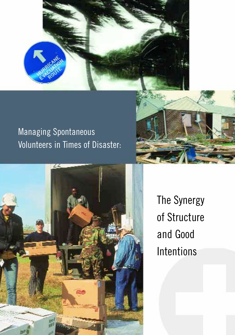

# Managing Spontaneous Volunteers in Times of Disaster:





The Synergy of Structure and Good Intentions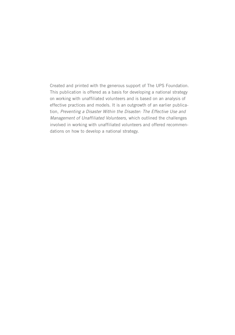Created and printed with the generous support of The UPS Foundation. This publication is offered as a basis for developing a national strategy on working with unaffiliated volunteers and is based on an analysis of effective practices and models. It is an outgrowth of an earlier publication, *Preventing a Disaster Within the Disaster: The Effective Use and Management of Unaffiliated Volunteers,* which outlined the challenges involved in working with unaffiliated volunteers and offered recommendations on how to develop a national strategy.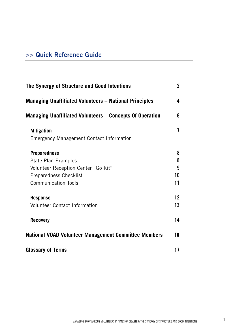# **>> Quick Reference Guide**

| The Synergy of Structure and Good Intentions                         |    |  |
|----------------------------------------------------------------------|----|--|
| <b>Managing Unaffiliated Volunteers - National Principles</b>        | 4  |  |
| <b>Managing Unaffiliated Volunteers - Concepts Of Operation</b>      | 6  |  |
| <b>Mitigation</b><br><b>Emergency Management Contact Information</b> | 7  |  |
| <b>Preparedness</b>                                                  | 8  |  |
| State Plan Examples                                                  | 8  |  |
| Volunteer Reception Center "Go Kit"                                  | 9  |  |
| <b>Preparedness Checklist</b>                                        | 10 |  |
| <b>Communication Tools</b>                                           | 11 |  |
| <b>Response</b>                                                      | 12 |  |
| <b>Volunteer Contact Information</b>                                 | 13 |  |
| <b>Recovery</b>                                                      | 14 |  |
| <b>National VOAD Volunteer Management Committee Members</b>          | 16 |  |
| <b>Glossary of Terms</b>                                             | 17 |  |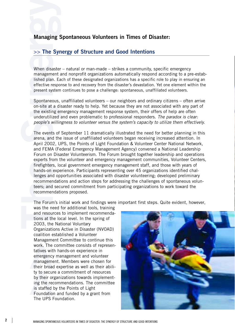# **Managing Spontaneous Volunteers in Times of Disaster:**

# **>> The Synergy of Structure and Good Intentions**

When disaster – natural or man-made – strikes a community, specific emergency management and nonprofit organizations automatically respond according to a pre-established plan. Each of these designated organizations has a specific role to play in ensuring an effective response to and recovery from the disaster's devastation. Yet one element within the present system continues to pose a challenge: spontaneous, unaffiliated volunteers.

Spontaneous, unaffiliated volunteers – our neighbors and ordinary citizens – often arrive on-site at a disaster ready to help. Yet because they are not associated with any part of the existing emergency management response system, their offers of help are often underutilized and even problematic to professional responders. *The paradox is clear: people's willingness to volunteer versus the system's capacity to utilize them effectively.*

The events of September 11 dramatically illustrated the need for better planning in this arena, and the issue of unaffiliated volunteers began receiving increased attention. In April 2002, UPS, the Points of Light Foundation & Volunteer Center National Network, and FEMA (Federal Emergency Management Agency) convened a National Leadership Forum on Disaster Volunteerism. The Forum brought together leadership and operations experts from the volunteer and emergency management communities, Volunteer Centers, firefighters, local government emergency management staff, and those with years of hands-on experience. Participants representing over 45 organizations identified challenges and opportunities associated with disaster volunteering; developed preliminary recommendations and action steps for addressing the challenges of spontaneous volunteers; and secured commitment from participating organizations to work toward the recommendations proposed.

The Forum's initial work and findings were important first steps. Quite evident, however,

was the need for additional tools, training and resources to implement recommendations at the local level. In the spring of 2003, the National Voluntary Organizations Active in Disaster (NVOAD) coalition established a Volunteer Management Committee to continue this work. The committee consists of representatives with hands-on experience in emergency management and volunteer management. Members were chosen for their broad expertise as well as their ability to secure a commitment of resources by their organizations towards implementing the recommendations. The committee is staffed by the Points of Light Foundation and funded by a grant from The UPS Foundation.

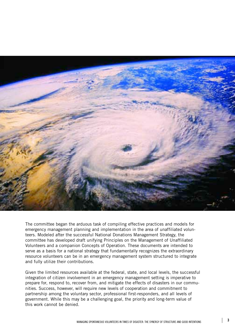

The committee began the arduous task of compiling effective practices and models for emergency management planning and implementation in the area of unaffiliated volunteers. Modeled after the successful National Donations Management Strategy, the committee has developed draft unifying Principles on the Management of Unaffiliated Volunteers and a companion Concepts of Operation. These documents are intended to serve as a basis for a national strategy that fundamentally recognizes the extraordinary resource volunteers can be in an emergency management system structured to integrate and fully utilize their contributions.

Given the limited resources available at the federal, state, and local levels, the successful integration of citizen involvement in an emergency management setting is imperative to prepare for, respond to, recover from, and mitigate the effects of disasters in our communities. Success, however, will require new levels of cooperation and commitment to partnership among the voluntary sector, professional first-responders, and all levels of government. While this may be a challenging goal, the priority and long-term value of this work cannot be denied.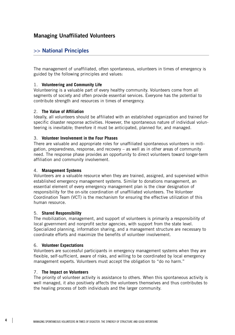# **Managing Unaffiliated Volunteers**

# **>> National Principles**

The management of unaffiliated, often spontaneous, volunteers in times of emergency is guided by the following principles and values:

#### 1. **Volunteering and Community Life**

Volunteering is a valuable part of every healthy community. Volunteers come from all segments of society and often provide essential services. Everyone has the potential to contribute strength and resources in times of emergency.

#### 2. **The Value of Affiliation**

Ideally, all volunteers should be affiliated with an established organization and trained for specific disaster response activities. However, the spontaneous nature of individual volunteering is inevitable; therefore it must be anticipated, planned for, and managed.

#### 3. **Volunteer Involvement in the Four Phases**

There are valuable and appropriate roles for unaffiliated spontaneous volunteers in mitigation, preparedness, response, and recovery – as well as in other areas of community need. The response phase provides an opportunity to direct volunteers toward longer-term affiliation and community involvement.

#### 4. **Management Systems**

Volunteers are a valuable resource when they are trained, assigned, and supervised within established emergency management systems. Similar to donations management, an essential element of every emergency management plan is the clear designation of responsibility for the on-site coordination of unaffiliated volunteers. The Volunteer Coordination Team (VCT) is the mechanism for ensuring the effective utilization of this human resource.

#### 5. **Shared Responsibility**

The mobilization, management, and support of volunteers is primarily a responsibility of local government and nonprofit sector agencies, with support from the state level. Specialized planning, information sharing, and a management structure are necessary to coordinate efforts and maximize the benefits of volunteer involvement.

#### 6. **Volunteer Expectations**

Volunteers are successful participants in emergency management systems when they are flexible, self-sufficient, aware of risks, and willing to be coordinated by local emergency management experts. Volunteers must accept the obligation to "do no harm."

#### 7. **The Impact on Volunteers**

The priority of volunteer activity is assistance to others. When this spontaneous activity is well managed, it also positively affects the volunteers themselves and thus contributes to the healing process of both individuals and the larger community.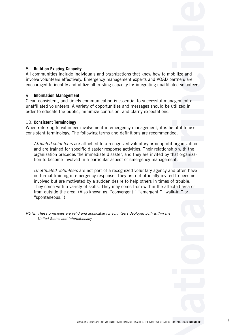#### 8. **Build on Existing Capacity**

All communities include individuals and organizations that know how to mobilize and involve volunteers effectively. Emergency management experts and VOAD partners are encouraged to identify and utilize all existing capacity for integrating unaffiliated volunteers.

#### 9. **Information Management**

Clear, consistent, and timely communication is essential to successful management of unaffiliated volunteers. A variety of opportunities and messages should be utilized in order to educate the public, minimize confusion, and clarify expectations.

#### 10. **Consistent Terminology**

When referring to volunteer involvement in emergency management, it is helpful to use consistent terminology. The following terms and definitions are recommended:

*Affiliated volunteers* are attached to a recognized voluntary or nonprofit organization and are trained for specific disaster response activities. Their relationship with the organization precedes the immediate disaster, and they are invited by that organization to become involved in a particular aspect of emergency management.

*Unaffiliated volunteers* are not part of a recognized voluntary agency and often have no formal training in emergency response. They are not officially invited to become involved but are motivated by a sudden desire to help others in times of trouble. They come with a variety of skills. They may come from within the affected area or from outside the area. (Also known as: "convergent," "emergent," "walk-in," or "spontaneous.")

*NOTE: These principles are valid and applicable for volunteers deployed both within the United States and internationally.*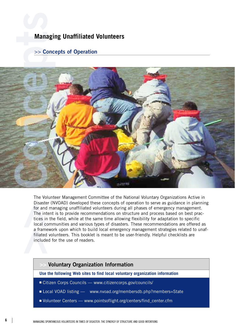# **Managing Unaffiliated Volunteers**

# **>> Concepts of Operation**



The Volunteer Management Committee of the National Voluntary Organizations Active in Disaster (NVOAD) developed these concepts of operation to serve as guidance in planning for and managing unaffiliated volunteers during all phases of emergency management. The intent is to provide recommendations on structure and process based on best practices in the field, while at the same time allowing flexibility for adaptation to specific local communities and various types of disasters. These recommendations are offered as a framework upon which to build local emergency management strategies related to unaffiliated volunteers. This booklet is meant to be user-friendly. Helpful checklists are included for the use of readers.

# **>> Voluntary Organization Information**

**Use the following Web sites to find local voluntary organization information**

- Citizen Corps Councils www.citizencorps.gov/councils/
- Local VOAD listing www.nvoad.org/membersdb.php?members=State
- Volunteer Centers www.pointsoflight.org/centers/find\_center.cfm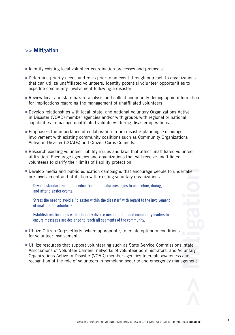# **>> Mitigation**

- Identify existing local volunteer coordination processes and protocols.
- Determine priority needs and roles prior to an event through outreach to organizations that can utilize unaffiliated volunteers. Identify potential volunteer opportunities to expedite community involvement following a disaster.
- Review local and state hazard analysis and collect community demographic information for implications regarding the management of unaffiliated volunteers.
- Develop relationships with local, state, and national Voluntary Organizations Active in Disaster (VOAD) member agencies and/or with groups with regional or national capabilities to manage unaffiliated volunteers during disaster operations.
- Emphasize the importance of collaboration in pre-disaster planning. Encourage involvement with existing community coalitions such as Community Organizations Active in Disaster (COADs) and Citizen Corps Councils.
- Research existing volunteer liability issues and laws that affect unaffiliated volunteer utilization. Encourage agencies and organizations that will receive unaffiliated volunteers to clarify their limits of liability protection.
- Develop media and public education campaigns that encourage people to undertake pre-involvement and affiliation with existing voluntary organizations.

Develop standardized public education and media messages to use before, during, and after disaster events.

Stress the need to avoid a "disaster within the disaster" with regard to the involvement of unaffiliated volunteers.

Establish relationships with ethnically diverse media outlets and community leaders to ensure messages are designed to reach all segments of the community.

- Utilize Citizen Corps efforts, where appropriate, to create optimum conditions for volunteer involvement.
- Utilize resources that support volunteering such as State Service Commissions, state Associations of Volunteer Centers, networks of volunteer administrators, and Voluntary Organizations Active in Disaster (VOAD) member agencies to create awareness and recognition of the role of volunteers in homeland security and emergency management.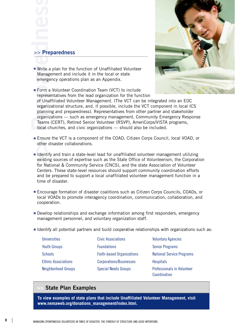

■ Write a plan for the function of Unaffiliated Volunteer Management and include it in the local or state emergency operations plan as an Appendix.

■ Form a Volunteer Coordination Team (VCT) to include representatives from the lead organization for the function

of Unaffiliated Volunteer Management. (The VCT can be integrated into an EOC organizational structure, and, if possible, include the VCT component in local ICS planning and preparedness). Representatives from other partner and stakeholder organizations — such as emergency management, Community Emergency Response Teams (CERT), Retired Senior Volunteer (RSVP), AmeriCorps/VISTA programs, local churches, and civic organizations — should also be included.

- Ensure the VCT is a component of the COAD, Citizen Corps Council, local VOAD, or other disaster collaborations.
- Identify and train a state-level lead for unaffiliated volunteer management utilizing existing sources of expertise such as the State Office of Volunteerism, the Corporation for National & Community Service (CNCS), and the state Association of Volunteer Centers. These state-level resources should support community coordination efforts and be prepared to support a local unaffiliated volunteer management function in a time of disaster.
- Encourage formation of disaster coalitions such as Citizen Corps Councils, COADs, or local VOADs to promote interagency coordination, communication, collaboration, and cooperation.
- Develop relationships and exchange information among first responders, emergency management personnel, and voluntary organization staff.
- Identify all potential partners and build cooperative relationships with organizations such as:

| <b>Universities</b>        | <b>Civic Associations</b>        | <b>Voluntary Agencies</b>                  |
|----------------------------|----------------------------------|--------------------------------------------|
| <b>Youth Groups</b>        | <b>Foundations</b>               | <b>Senior Programs</b>                     |
| <b>Schools</b>             | <b>Faith-based Organizations</b> | <b>National Service Programs</b>           |
| <b>Ethnic Associations</b> | Corporations/Businesses          | <b>Hospitals</b>                           |
| <b>Neighborhood Groups</b> | <b>Special Needs Groups</b>      | Professionals in Volunteer<br>Coordination |

# **State Plan Examples**

**To view examples of state plans that include Unaffiliated Volunteer Management, visit www.nemaweb.org/donations\_management/index.html.**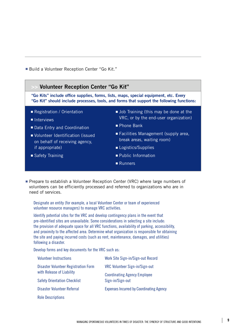■ Build a Volunteer Reception Center "Go Kit."



■ Prepare to establish a Volunteer Reception Center (VRC) where large numbers of volunteers can be efficiently processed and referred to organizations who are in need of services.

Designate an entity (for example, a local Volunteer Center or team of experienced volunteer resource managers) to manage VRC activities.

Identify potential sites for the VRC and develop contingency plans in the event that pre-identified sites are unavailable. Some considerations in selecting a site include: the provision of adequate space for all VRC functions, availability of parking, accessibility, and proximity to the affected area. Determine what organization is responsible for obtaining the site and paying incurred costs (such as rent, maintenance, damages, and utilities) following a disaster.

Develop forms and key documents for the VRC such as:

| <b>Volunteer Instructions</b>                                     | Work Site Sign-in/Sign-out Record               |  |
|-------------------------------------------------------------------|-------------------------------------------------|--|
| Disaster Volunteer Registration Form<br>with Release of Liability | VRC Volunteer Sign-in/Sign-out                  |  |
|                                                                   | <b>Coordinating Agency Employee</b>             |  |
| <b>Safety Orientation Checklist</b>                               | Sign-in/Sign-out                                |  |
| Disaster Volunteer Referral                                       | <b>Expenses Incurred by Coordinating Agency</b> |  |
| <b>Role Descriptions</b>                                          |                                                 |  |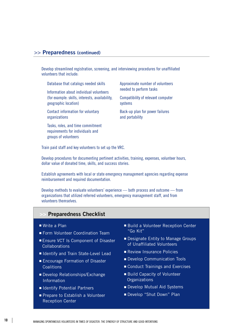## **>> Preparedness (continued)**

Develop streamlined registration, screening, and interviewing procedures for unaffiliated volunteers that include:

Database that catalogs needed skills

Information about individual volunteers (for example: skills, interests, availability, geographic location)

Contact information for voluntary organizations

Tasks, roles, and time commitment requirements for individuals and groups of volunteers

Approximate number of volunteers needed to perform tasks

Compatibility of relevant computer s v stem s

Back-up plan for power failures and portability

Train paid staff and key volunteers to set up the VRC.

Develop procedures for documenting pertinent activities, training, expenses, volunteer hours, dollar value of donated time, skills, and success stories.

Establish agreements with local or state emergency management agencies regarding expense reimbursement and required documentation.

Develop methods to evaluate volunteers' experience — both process and outcome — from organizations that utilized referred volunteers, emergency management staff, and from volunteers themselves.

## **Preparedness Checklist**

- Write a Plan
- Form Volunteer Coordination Team
- Ensure VCT Is Component of Disaster Collaborations
- Identify and Train State-Level Lead
- Encourage Formation of Disaster **Coalitions**
- Develop Relationships/Exchange Information
- Identify Potential Partners
- Prepare to Establish a Volunteer Reception Center
- Build a Volunteer Reception Center "Go Kit"
- Designate Entity to Manage Groups of Unaffiliated Volunteers
- Review Insurance Policies
- Develop Communication Tools
- Conduct Trainings and Exercises
- Build Capacity of Volunteer **Organizations**
- Develop Mutual Aid Systems
- Develop "Shut Down" Plan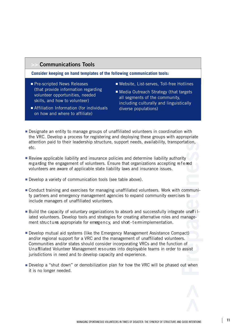# **Communications Tools**

**Consider keeping on hand templates of the following communication tools:**

- Pre-scripted News Releases (that provide information regarding volunteer opportunities, needed skills, and how to volunteer)
- Website, List-serves, Toll-free Hotlines
- Media Outreach Strategy (that targets all segments of the community, including culturally and linguistically diverse populations)
- Affiliation Information (for individuals on how and where to affiliate)
- Designate an entity to manage groups of unaffiliated volunteers in coordination with the VRC. Develop a process for registering and deploying these groups with appropriate attention paid to their leadership structure, support needs, availability, transportation, etc.
- Review applicable liability and insurance policies and determine liability authority regarding the engagement of volunteers. Ensure that organizations accepting referred volunteers are aware of applicable state liability laws and insurance issues.
- Develop a variety of communication tools (see table above).
- Conduct training and exercises for managing unaffiliated volunteers. Work with community partners and emergency management agencies to expand community exercises to include managers of unaffiliated volunteers.
- Build the capacity of voluntary organizations to absorb and successfully integrate unaff i liated volunteers. Develop tools and strategies for creating alternative roles and management structures appropriate for emergency, and short-termimplementation.
- Develop mutual aid systems (like the Emergency Management Assistance Compact) and/or regional support for a VRC and the management of unaffiliated volunteers. Communities and/or states should consider incorporating VRCs and the function of Un a ffiliated Volunteer Management resources into deployable teams in order to assist jurisdictions in need and to develop capacity and experience.
- Develop a "shut down" or demobilization plan for how the VRC will be phased out when it is no longer needed.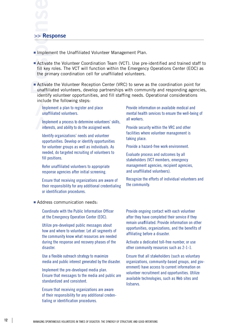#### **>> Response**

- Implement the Unaffiliated Volunteer Management Plan.
- Activate the Volunteer Coordination Team (VCT). Use pre-identified and trained staff to fill key roles. The VCT will function within the Emergency Operations Center (EOC) as the primary coordination cell for unaffiliated volunteers.
- Activate the Volunteer Reception Center (VRC) to serve as the coordination point for unaffiliated volunteers, develop partnerships with community and responding agencies, identify volunteer opportunities, and fill staffing needs. Operational considerations include the following steps:

Implement a plan to register and place unaffiliated volunteers.

Implement a process to determine volunteers' skills, interests, and ability to do the assigned work.

Identify organizations' needs and volunteer opportunities. Develop or identify opportunities for volunteer groups as well as individuals. As needed, do targeted recruiting of volunteers to fill positions.

Refer unaffiliated volunteers to appropriate response agencies after initial screening.

Ensure that receiving organizations are aware of their responsibility for any additional credentialing or identification procedures.

Provide information on available medical and mental health services to ensure the well-being of all workers.

Provide security within the VRC and other facilities where volunteer management is taking place.

Provide a hazard-free work environment.

Evaluate process and outcomes by all stakeholders (VCT members, emergency management agencies, recipient agencies, and unaffiliated volunteers).

Recognize the efforts of individual volunteers and the community.

#### ■ Address communication needs:

Coordinate with the Public Information Officer at the Emergency Operation Center (EOC).

Utilize pre-developed public messages about how and where to volunteer. Let all segments of the community know what resources are needed during the response and recovery phases of the disaster.

Use a flexible outreach strategy to maximize media and public interest generated by the disaster.

Implement the pre-developed media plan. Ensure that messages to the media and public are standardized and consistent.

Ensure that receiving organizations are aware of their responsibility for any additional credentialing or identification procedures.

Provide ongoing contact with each volunteer after they have completed their service if they remain unaffiliated. Provide information on other opportunities, organizations, and the benefits of affiliating before a disaster.

Activate a dedicated toll-free number, or use other community resources such as 2-1-1.

Ensure that all stakeholders (such as voluntary organizations, community-based groups, and government) have access to current information on volunteer recruitment and opportunities. Utilize available technologies, such as Web sites and listservs.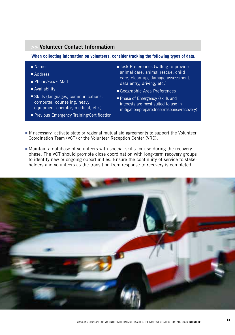#### ■ Name ■ Address ■ Phone/Fax/E-Mail ■ Availability ■ Skills (languages, communications, computer, counseling, heavy equipment operator, medical, etc.) ■ Previous Emergency Training/Certification ■ Task Preferences (willing to provide animal care, animal rescue, child care, clean-up, damage assessment, data entry, driving, etc.) ■ Geographic Area Preferences ■ Phase of Emergency (skills and interests are most suited to use in mitigation/preparedness/response/recovery) **>> Volunteer Contact Informatiom When collecting information on volunteers, consider tracking the following types of data:**

- If necessary, activate state or regional mutual aid agreements to support the Volunteer Coordination Team (VCT) or the Volunteer Reception Center (VRC).
- Maintain a database of volunteers with special skills for use during the recovery phase. The VCT should promote close coordination with long-term recovery groups to identify new or ongoing opportunities. Ensure the continuity of service to stakeholders and volunteers as the transition from response to recovery is completed.

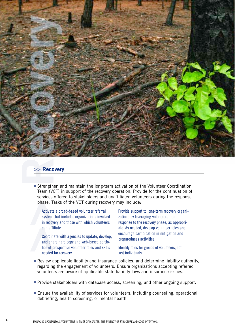

#### **>> Recovery**

■ Strengthen and maintain the long-term activation of the Volunteer Coordination Team (VCT) in support of the recovery operation. Provide for the continuation of services offered to stakeholders and unaffiliated volunteers during the response phase. Tasks of the VCT during recovery may include:

Activate a broad-based volunteer referral system that includes organizations involved in recovery and those with which volunteers can affiliate.

Coordinate with agencies to update, develop, and share hard copy and web-based portfolios of prospective volunteer roles and skills needed for recovery.

Provide support to long-term recovery organizations by leveraging volunteers from response to the recovery phase, as appropriate. As needed, develop volunteer roles and encourage participation in mitigation and preparedness activities.

Identify roles for groups of volunteers, not just individuals.

- Review applicable liability and insurance policies, and determine liability authority, regarding the engagement of volunteers. Ensure organizations accepting referred volunteers are aware of applicable state liability laws and insurance issues.
- Provide stakeholders with database access, screening, and other ongoing support.
- Ensure the availability of services for volunteers, including counseling, operational debriefing, health screening, or mental health.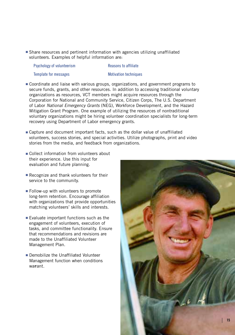■ Share resources and pertinent information with agencies utilizing unaffiliated volunteers. Examples of helpful information are:

| Psychology of volunteerism |  |
|----------------------------|--|
| Template for messages      |  |

Reasons to affiliate

Motivation techniques

- Coordinate and liaise with various groups, organizations, and government programs to secure funds, grants, and other resources. In addition to accessing traditional voluntary organizations as resources, VCT members might acquire resources through the Corporation for National and Community Service, Citizen Corps, The U.S. Department of Labor *National Emergency Grants* (NEG), Workforce Development, and the Hazard Mitigation Grant Program. One example of utilizing the resources of nontraditional voluntary organizations might be hiring volunteer coordination specialists for long-term recovery using Department of Labor emergency grants.
- Capture and document important facts, such as the dollar value of unaffiliated volunteers, success stories, and special activities. Utilize photographs, print and video stories from the media, and feedback from organizations.
- Collect information from volunteers about their experience. Use this input for evaluation and future planning.
- Recognize and thank volunteers for their service to the community.
- Follow-up with volunteers to promote long-term retention. Encourage affiliation with organizations that provide opportunities matching volunteers' skills and interests.
- Evaluate important functions such as the engagement of volunteers, execution of tasks, and committee functionality. Ensure that recommendations and revisions are made to the Unaffiliated Volunteer Management Plan.
- Demobilize the Unaffiliated Volunteer Management function when conditions warrant.

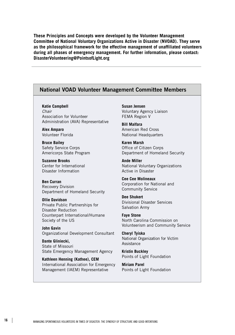**These Principles and Concepts were developed by the Volunteer Management Committee of National Voluntary Organizations Active in Disaster (NVOAD). They serve as the philosophical framework for the effective management of unaffiliated volunteers during all phases of emergency management. For further information, please contact: DisasterVolunteering@PointsofLight.org**

# **National VOAD Volunteer Management Committee Members**

**Katie Campbell**  *Chair* Association for Volunteer Administration (AVA) Representative

**Alex Amparo** Volunteer Florida

**Bruce Bailey** Safety Service Corps Americorps State Program

**Suzanne Brooks** Center for International Disaster Information

**Ben Curran** Recovery Division Department of Homeland Security

**Ollie Davidson** Private Public Partnerships for Disaster Reduction Counterpart International/Humane Society of the US

**John Gavin** Organizational Development Consultant

**Dante Gliniecki,**  State of Missouri State Emergency Management Agency

**Kathleen Henning (Kathee), CEM**  International Association for Emergency Management (IAEM) Representative

**Susan Jensen** Voluntary Agency Liaison FEMA Region V

**Bill Malfara** American Red Cross National Headquarters

**Karen Marsh** Office of Citizen Corps Department of Homeland Security

**Ande Miller** National Voluntary Organizations Active in Disaster

**Cee Cee Molineaux** Corporation for National and Community Service

**Dee Shukert** Divisional Disaster Services Salvation Army

**Faye Stone** North Carolina Commission on Volunteerism and Community Service

**Cheryl Tyiska** National Organization for Victim Assistance

**Kristin Buckley** Points of Light Foundation

**Miriam Parel** Points of Light Foundation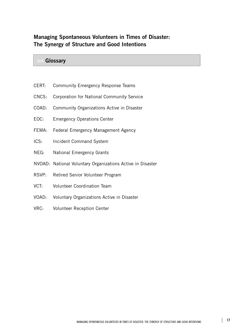# **Managing Spontaneous Volunteers in Times of Disaster: The Synergy of Structure and Good Intentions**

## **>> Glossary**

- CERT: Community Emergency Response Teams
- CNCS: Corporation for National Community Service
- COAD: Community Organizations Active in Disaster
- EOC: Emergency Operations Center
- FEMA: Federal Emergency Management Agency
- ICS: Incident Command System
- NEG: National Emergency Grants
- NVOAD: National Voluntary Organizations Active in Disaster
- RSVP: Retired Senior Volunteer Program
- VCT: Volunteer Coordination Team
- VOAD: Voluntary Organizations Active in Disaster
- VRC: Volunteer Reception Center